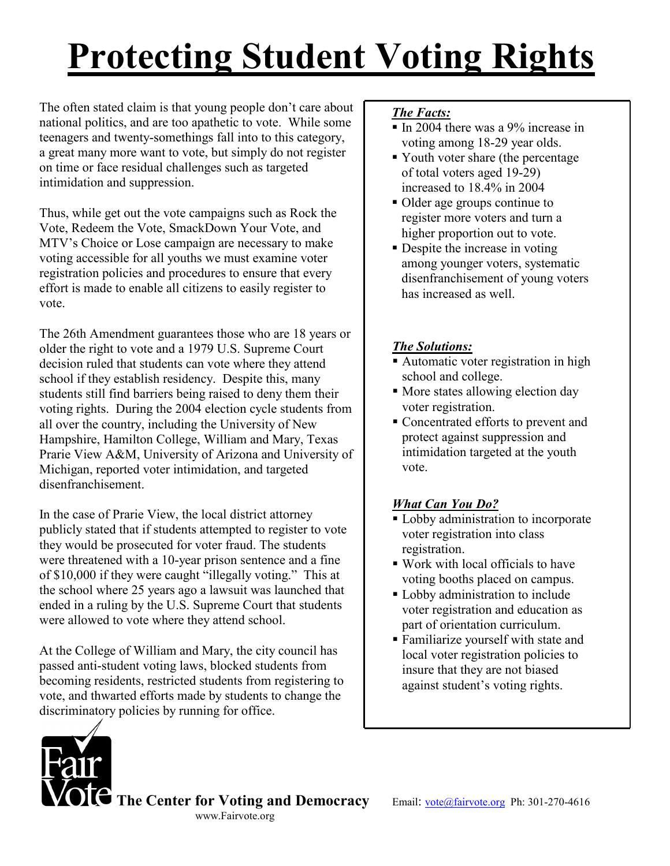# Protecting Student Voting Rights

The often stated claim is that young people don't care about national politics, and are too apathetic to vote. While some teenagers and twenty-somethings fall into to this category, a great many more want to vote, but simply do not register on time or face residual challenges such as targeted intimidation and suppression.

Thus, while get out the vote campaigns such as Rock the Vote, Redeem the Vote, SmackDown Your Vote, and MTV's Choice or Lose campaign are necessary to make voting accessible for all youths we must examine voter registration policies and procedures to ensure that every effort is made to enable all citizens to easily register to vote.

The 26th Amendment guarantees those who are 18 years or older the right to vote and a 1979 U.S. Supreme Court decision ruled that students can vote where they attend school if they establish residency. Despite this, many students still find barriers being raised to deny them their voting rights. During the 2004 election cycle students from all over the country, including the University of New Hampshire, Hamilton College, William and Mary, Texas Prarie View A&M, University of Arizona and University of Michigan, reported voter intimidation, and targeted disenfranchisement.

In the case of Prarie View, the local district attorney publicly stated that if students attempted to register to vote they would be prosecuted for voter fraud. The students were threatened with a 10-year prison sentence and a fine of \$10,000 if they were caught "illegally voting." This at the school where 25 years ago a lawsuit was launched that ended in a ruling by the U.S. Supreme Court that students were allowed to vote where they attend school.

At the College of William and Mary, the city council has passed anti-student voting laws, blocked students from becoming residents, restricted students from registering to vote, and thwarted efforts made by students to change the discriminatory policies by running for office.

#### The Facts:

- In 2004 there was a 9% increase in voting among 18-29 year olds.
- Youth voter share (the percentage of total voters aged 19-29) increased to 18.4% in 2004
- Older age groups continue to register more voters and turn a higher proportion out to vote.
- Despite the increase in voting among younger voters, systematic disenfranchisement of young voters has increased as well.

#### The Solutions:

- Automatic voter registration in high school and college.
- More states allowing election day voter registration.
- Concentrated efforts to prevent and protect against suppression and intimidation targeted at the youth vote.

### What Can You Do?

- **Lobby administration to incorporate** voter registration into class registration.
- Work with local officials to have voting booths placed on campus.
- Lobby administration to include voter registration and education as part of orientation curriculum.
- Familiarize yourself with state and local voter registration policies to insure that they are not biased against student's voting rights.